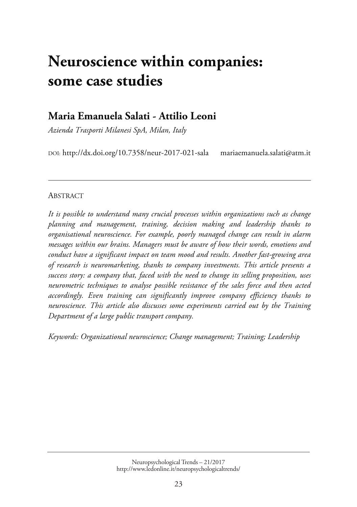# **[Neuroscience within companies:](http://www.ledonline.it/NeuropsychologicalTrends/21-2017.html)  some case studies**

# **Maria Emanuela Salati - Attilio Leoni**

*Azienda Trasporti Milanesi SpA, Milan, Italy* 

DOI: http://dx.doi.org/10.7358/neur-2017-021-sala mariaemanuela.salati@atm.it

#### ABSTRACT

*It is possible to understand many crucial processes within organizations such as change planning and management, training, decision making and leadership thanks to organisational neuroscience. For example, poorly managed change can result in alarm messages within our brains. Managers must be aware of how their words, emotions and conduct have a significant impact on team mood and results. Another fast-growing area of research is neuromarketing, thanks to company investments. This article presents a success story: a company that, faced with the need to change its selling proposition, uses neurometric techniques to analyse possible resistance of the sales force and then acted accordingly. Even training can significantly improve company efficiency thanks to neuroscience. This article also discusses some experiments carried out by the Training Department of a large public transport company.* 

*Keywords: Organizational neuroscience; Change management; Training; Leadership*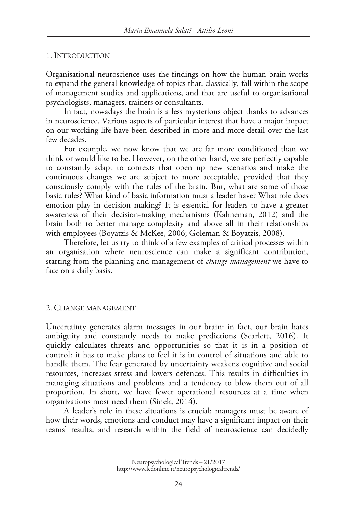#### 1. INTRODUCTION

Organisational neuroscience uses the findings on how the human brain works to expand the general knowledge of topics that, classically, fall within the scope of management studies and applications, and that are useful to organisational psychologists, managers, trainers or consultants.

In fact, nowadays the brain is a less mysterious object thanks to advances in neuroscience. Various aspects of particular interest that have a major impact on our working life have been described in more and more detail over the last few decades.

For example, we now know that we are far more conditioned than we think or would like to be. However, on the other hand, we are perfectly capable to constantly adapt to contexts that open up new scenarios and make the continuous changes we are subject to more acceptable, provided that they consciously comply with the rules of the brain. But, what are some of those basic rules? What kind of basic information must a leader have? What role does emotion play in decision making? It is essential for leaders to have a greater awareness of their decision-making mechanisms (Kahneman, 2012) and the brain both to better manage complexity and above all in their relationships with employees (Boyatzis & McKee, 2006; Goleman & Boyatzis, 2008).

Therefore, let us try to think of a few examples of critical processes within an organisation where neuroscience can make a significant contribution, starting from the planning and management of *change management* we have to face on a daily basis.

#### 2. CHANGE MANAGEMENT

Uncertainty generates alarm messages in our brain: in fact, our brain hates ambiguity and constantly needs to make predictions (Scarlett, 2016). It quickly calculates threats and opportunities so that it is in a position of control: it has to make plans to feel it is in control of situations and able to handle them. The fear generated by uncertainty weakens cognitive and social resources, increases stress and lowers defences. This results in difficulties in managing situations and problems and a tendency to blow them out of all proportion. In short, we have fewer operational resources at a time when organizations most need them (Sinek, 2014).

A leader's role in these situations is crucial: managers must be aware of how their words, emotions and conduct may have a significant impact on their teams' results, and research within the field of neuroscience can decidedly

Neuropsychological Trends – 21/2017 http://www.ledonline.it/neuropsychologicaltrends/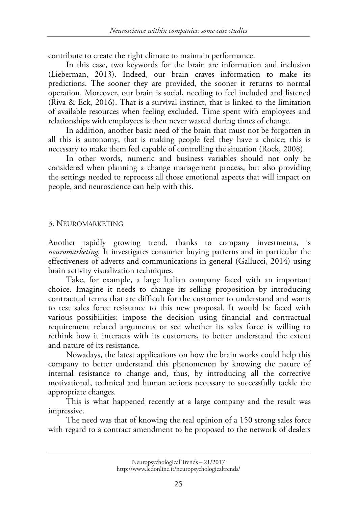contribute to create the right climate to maintain performance.

In this case, two keywords for the brain are information and inclusion (Lieberman, 2013). Indeed, our brain craves information to make its predictions. The sooner they are provided, the sooner it returns to normal operation. Moreover, our brain is social, needing to feel included and listened (Riva & Eck, 2016). That is a survival instinct, that is linked to the limitation of available resources when feeling excluded. Time spent with employees and relationships with employees is then never wasted during times of change.

In addition, another basic need of the brain that must not be forgotten in all this is autonomy, that is making people feel they have a choice; this is necessary to make them feel capable of controlling the situation (Rock, 2008).

In other words, numeric and business variables should not only be considered when planning a change management process, but also providing the settings needed to reprocess all those emotional aspects that will impact on people, and neuroscience can help with this.

#### 3. NEUROMARKETING

Another rapidly growing trend, thanks to company investments, is *neuromarketing.* It investigates consumer buying patterns and in particular the effectiveness of adverts and communications in general (Gallucci, 2014) using brain activity visualization techniques.

Take, for example, a large Italian company faced with an important choice. Imagine it needs to change its selling proposition by introducing contractual terms that are difficult for the customer to understand and wants to test sales force resistance to this new proposal. It would be faced with various possibilities: impose the decision using financial and contractual requirement related arguments or see whether its sales force is willing to rethink how it interacts with its customers, to better understand the extent and nature of its resistance.

Nowadays, the latest applications on how the brain works could help this company to better understand this phenomenon by knowing the nature of internal resistance to change and, thus, by introducing all the corrective motivational, technical and human actions necessary to successfully tackle the appropriate changes.

This is what happened recently at a large company and the result was impressive.

The need was that of knowing the real opinion of a 150 strong sales force with regard to a contract amendment to be proposed to the network of dealers

Neuropsychological Trends – 21/2017 http://www.ledonline.it/neuropsychologicaltrends/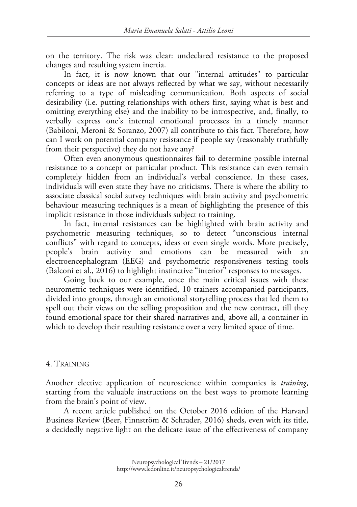on the territory. The risk was clear: undeclared resistance to the proposed changes and resulting system inertia.

In fact, it is now known that our "internal attitudes" to particular concepts or ideas are not always reflected by what we say, without necessarily referring to a type of misleading communication. Both aspects of social desirability (i.e. putting relationships with others first, saying what is best and omitting everything else) and the inability to be introspective, and, finally, to verbally express one's internal emotional processes in a timely manner (Babiloni, Meroni & Soranzo, 2007) all contribute to this fact. Therefore, how can I work on potential company resistance if people say (reasonably truthfully from their perspective) they do not have any?

Often even anonymous questionnaires fail to determine possible internal resistance to a concept or particular product. This resistance can even remain completely hidden from an individual's verbal conscience. In these cases, individuals will even state they have no criticisms. There is where the ability to associate classical social survey techniques with brain activity and psychometric behaviour measuring techniques is a mean of highlighting the presence of this implicit resistance in those individuals subject to training.

In fact, internal resistances can be highlighted with brain activity and psychometric measuring techniques, so to detect "unconscious internal conflicts" with regard to concepts, ideas or even single words. More precisely, people's brain activity and emotions can be measured with an electroencephalogram (EEG) and psychometric responsiveness testing tools (Balconi et al., 2016) to highlight instinctive "interior" responses to messages.

Going back to our example, once the main critical issues with these neurometric techniques were identified, 10 trainers accompanied participants, divided into groups, through an emotional storytelling process that led them to spell out their views on the selling proposition and the new contract, till they found emotional space for their shared narratives and, above all, a container in which to develop their resulting resistance over a very limited space of time.

## 4. TRAINING

Another elective application of neuroscience within companies is *training*, starting from the valuable instructions on the best ways to promote learning from the brain's point of view.

A recent article published on the October 2016 edition of the Harvard Business Review (Beer, Finnström & Schrader, 2016) sheds, even with its title, a decidedly negative light on the delicate issue of the effectiveness of company

Neuropsychological Trends – 21/2017 http://www.ledonline.it/neuropsychologicaltrends/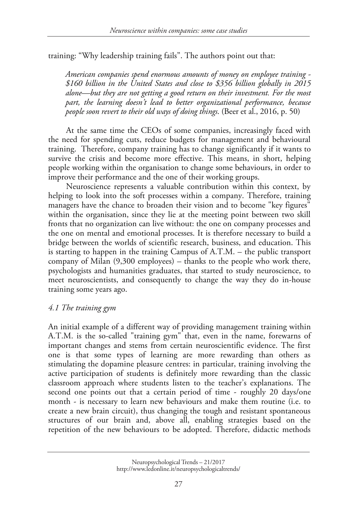training: "Why leadership training fails". The authors point out that:

*American companies spend enormous amounts of money on employee training - \$160 billion in the United States and close to \$356 billion globally in 2015 alone—but they are not getting a good return on their investment. For the most part, the learning doesn't lead to better organizational performance, because people soon revert to their old ways of doing things*. (Beer et al., 2016, p. 50)

At the same time the CEOs of some companies, increasingly faced with the need for spending cuts, reduce budgets for management and behavioural training. Therefore, company training has to change significantly if it wants to survive the crisis and become more effective. This means, in short, helping people working within the organisation to change some behaviours, in order to improve their performance and the one of their working groups.

Neuroscience represents a valuable contribution within this context, by helping to look into the soft processes within a company. Therefore, training managers have the chance to broaden their vision and to become "key figures" within the organisation, since they lie at the meeting point between two skill fronts that no organization can live without: the one on company processes and the one on mental and emotional processes. It is therefore necessary to build a bridge between the worlds of scientific research, business, and education. This is starting to happen in the training Campus of A.T.M. – the public transport company of Milan (9,300 employees) – thanks to the people who work there, psychologists and humanities graduates, that started to study neuroscience, to meet neuroscientists, and consequently to change the way they do in-house training some years ago.

## *4.1 The training gym*

An initial example of a different way of providing management training within A.T.M. is the so-called "training gym" that, even in the name, forewarns of important changes and stems from certain neuroscientific evidence. The first one is that some types of learning are more rewarding than others as stimulating the dopamine pleasure centres: in particular, training involving the active participation of students is definitely more rewarding than the classic classroom approach where students listen to the teacher's explanations. The second one points out that a certain period of time - roughly 20 days/one month - is necessary to learn new behaviours and make them routine (i.e. to create a new brain circuit), thus changing the tough and resistant spontaneous structures of our brain and, above all, enabling strategies based on the repetition of the new behaviours to be adopted. Therefore, didactic methods

Neuropsychological Trends – 21/2017 http://www.ledonline.it/neuropsychologicaltrends/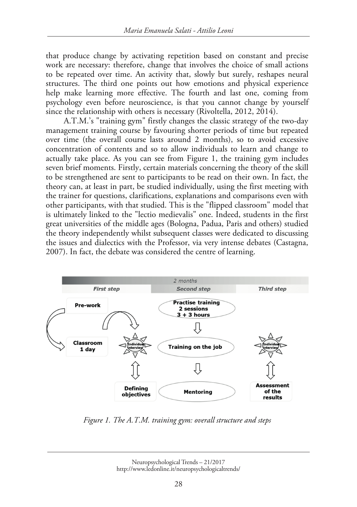that produce change by activating repetition based on constant and precise work are necessary: therefore, change that involves the choice of small actions to be repeated over time. An activity that, slowly but surely, reshapes neural structures. The third one points out how emotions and physical experience help make learning more effective. The fourth and last one, coming from psychology even before neuroscience, is that you cannot change by yourself since the relationship with others is necessary (Rivoltella, 2012, 2014).

A.T.M.'s "training gym" firstly changes the classic strategy of the two-day management training course by favouring shorter periods of time but repeated over time (the overall course lasts around 2 months), so to avoid excessive concentration of contents and so to allow individuals to learn and change to actually take place. As you can see from Figure 1, the training gym includes seven brief moments. Firstly, certain materials concerning the theory of the skill to be strengthened are sent to participants to be read on their own. In fact, the theory can, at least in part, be studied individually, using the first meeting with the trainer for questions, clarifications, explanations and comparisons even with other participants, with that studied. This is the "flipped classroom" model that is ultimately linked to the "lectio medievalis" one. Indeed, students in the first great universities of the middle ages (Bologna, Padua, Paris and others) studied the theory independently whilst subsequent classes were dedicated to discussing the issues and dialectics with the Professor, via very intense debates (Castagna, 2007). In fact, the debate was considered the centre of learning.



*Figure 1. The A.T.M. training gym: overall structure and steps* 

Neuropsychological Trends – 21/2017 http://www.ledonline.it/neuropsychologicaltrends/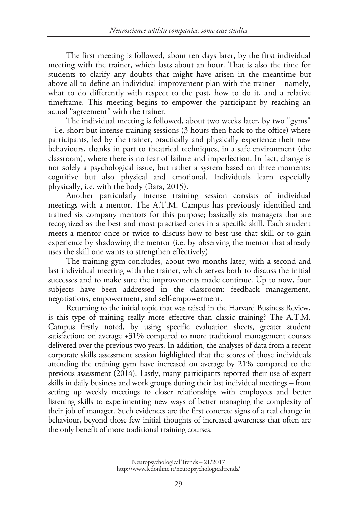The first meeting is followed, about ten days later, by the first individual meeting with the trainer, which lasts about an hour. That is also the time for students to clarify any doubts that might have arisen in the meantime but above all to define an individual improvement plan with the trainer – namely, what to do differently with respect to the past, how to do it, and a relative timeframe. This meeting begins to empower the participant by reaching an actual "agreement" with the trainer.

The individual meeting is followed, about two weeks later, by two "gyms" – i.e. short but intense training sessions (3 hours then back to the office) where participants, led by the trainer, practically and physically experience their new behaviours, thanks in part to theatrical techniques, in a safe environment (the classroom), where there is no fear of failure and imperfection. In fact, change is not solely a psychological issue, but rather a system based on three moments: cognitive but also physical and emotional. Individuals learn especially physically, i.e. with the body (Bara, 2015).

Another particularly intense training session consists of individual meetings with a mentor. The A.T.M. Campus has previously identified and trained six company mentors for this purpose; basically six managers that are recognized as the best and most practised ones in a specific skill. Each student meets a mentor once or twice to discuss how to best use that skill or to gain experience by shadowing the mentor (i.e. by observing the mentor that already uses the skill one wants to strengthen effectively).

The training gym concludes, about two months later, with a second and last individual meeting with the trainer, which serves both to discuss the initial successes and to make sure the improvements made continue. Up to now, four subjects have been addressed in the classroom: feedback management, negotiations, empowerment, and self-empowerment.

Returning to the initial topic that was raised in the Harvard Business Review, is this type of training really more effective than classic training? The A.T.M. Campus firstly noted, by using specific evaluation sheets, greater student satisfaction: on average +31% compared to more traditional management courses delivered over the previous two years. In addition, the analyses of data from a recent corporate skills assessment session highlighted that the scores of those individuals attending the training gym have increased on average by 21% compared to the previous assessment (2014). Lastly, many participants reported their use of expert skills in daily business and work groups during their last individual meetings – from setting up weekly meetings to closer relationships with employees and better listening skills to experimenting new ways of better managing the complexity of their job of manager. Such evidences are the first concrete signs of a real change in behaviour, beyond those few initial thoughts of increased awareness that often are the only benefit of more traditional training courses.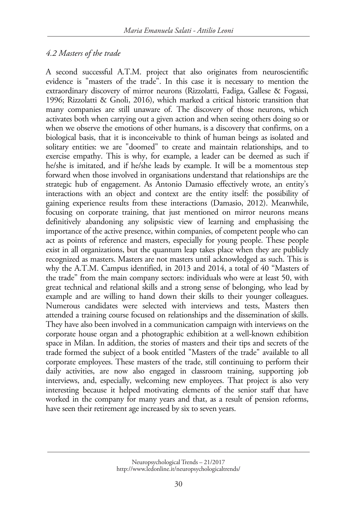## *4.2 Masters of the trade*

A second successful A.T.M. project that also originates from neuroscientific evidence is "masters of the trade". In this case it is necessary to mention the extraordinary discovery of mirror neurons (Rizzolatti, Fadiga, Gallese & Fogassi, 1996; Rizzolatti & Gnoli, 2016), which marked a critical historic transition that many companies are still unaware of. The discovery of those neurons, which activates both when carrying out a given action and when seeing others doing so or when we observe the emotions of other humans, is a discovery that confirms, on a biological basis, that it is inconceivable to think of human beings as isolated and solitary entities: we are "doomed" to create and maintain relationships, and to exercise empathy. This is why, for example, a leader can be deemed as such if he/she is imitated, and if he/she leads by example. It will be a momentous step forward when those involved in organisations understand that relationships are the strategic hub of engagement. As Antonio Damasio effectively wrote, an entity's interactions with an object and context are the entity itself: the possibility of gaining experience results from these interactions (Damasio, 2012). Meanwhile, focusing on corporate training, that just mentioned on mirror neurons means definitively abandoning any solipsistic view of learning and emphasising the importance of the active presence, within companies, of competent people who can act as points of reference and masters, especially for young people. These people exist in all organizations, but the quantum leap takes place when they are publicly recognized as masters. Masters are not masters until acknowledged as such. This is why the A.T.M. Campus identified, in 2013 and 2014, a total of 40 "Masters of the trade" from the main company sectors: individuals who were at least 50, with great technical and relational skills and a strong sense of belonging, who lead by example and are willing to hand down their skills to their younger colleagues. Numerous candidates were selected with interviews and tests, Masters then attended a training course focused on relationships and the dissemination of skills. They have also been involved in a communication campaign with interviews on the corporate house organ and a photographic exhibition at a well-known exhibition space in Milan. In addition, the stories of masters and their tips and secrets of the trade formed the subject of a book entitled "Masters of the trade" available to all corporate employees. These masters of the trade, still continuing to perform their daily activities, are now also engaged in classroom training, supporting job interviews, and, especially, welcoming new employees. That project is also very interesting because it helped motivating elements of the senior staff that have worked in the company for many years and that, as a result of pension reforms, have seen their retirement age increased by six to seven years.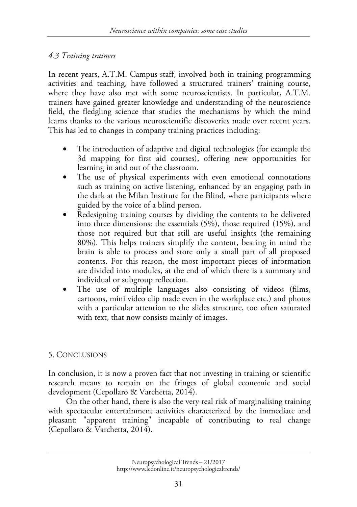# *4.3 Training trainers*

In recent years, A.T.M. Campus staff, involved both in training programming activities and teaching, have followed a structured trainers' training course, where they have also met with some neuroscientists. In particular, A.T.M. trainers have gained greater knowledge and understanding of the neuroscience field, the fledgling science that studies the mechanisms by which the mind learns thanks to the various neuroscientific discoveries made over recent years. This has led to changes in company training practices including:

- The introduction of adaptive and digital technologies (for example the 3d mapping for first aid courses), offering new opportunities for learning in and out of the classroom.
- The use of physical experiments with even emotional connotations such as training on active listening, enhanced by an engaging path in the dark at the Milan Institute for the Blind, where participants where guided by the voice of a blind person.
- Redesigning training courses by dividing the contents to be delivered into three dimensions: the essentials (5%), those required (15%), and those not required but that still are useful insights (the remaining 80%). This helps trainers simplify the content, bearing in mind the brain is able to process and store only a small part of all proposed contents. For this reason, the most important pieces of information are divided into modules, at the end of which there is a summary and individual or subgroup reflection.
- The use of multiple languages also consisting of videos (films, cartoons, mini video clip made even in the workplace etc.) and photos with a particular attention to the slides structure, too often saturated with text, that now consists mainly of images.

# 5. CONCLUSIONS

In conclusion, it is now a proven fact that not investing in training or scientific research means to remain on the fringes of global economic and social development (Cepollaro & Varchetta, 2014).

On the other hand, there is also the very real risk of marginalising training with spectacular entertainment activities characterized by the immediate and pleasant: "apparent training" incapable of contributing to real change (Cepollaro & Varchetta, 2014).

Neuropsychological Trends – 21/2017 http://www.ledonline.it/neuropsychologicaltrends/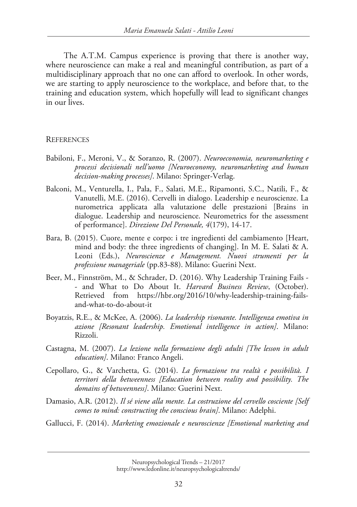The A.T.M. Campus experience is proving that there is another way, where neuroscience can make a real and meaningful contribution, as part of a multidisciplinary approach that no one can afford to overlook. In other words, we are starting to apply neuroscience to the workplace, and before that, to the training and education system, which hopefully will lead to significant changes in our lives.

#### **REFERENCES**

- Babiloni, F., Meroni, V., & Soranzo, R. (2007). *Neuroeconomia, neuromarketing e processi decisionali nell'uomo [Neuroeconomy, neuromarketing and human decision-making processes]*. Milano: Springer-Verlag.
- Balconi, M., Venturella, I., Pala, F., Salati, M.E., Ripamonti, S.C., Natili, F., & Vanutelli, M.E. (2016). Cervelli in dialogo. Leadership e neuroscienze. La nurometrica applicata alla valutazione delle prestazioni [Brains in dialogue. Leadership and neuroscience. Neurometrics for the assessment of performance]. *Direzione Del Personale, 4*(179), 14-17.
- Bara, B. (2015). Cuore, mente e corpo: i tre ingredienti del cambiamento [Heart, mind and body: the three ingredients of changing]. In M. E. Salati & A. Leoni (Eds.), *Neuroscienze e Management. Nuovi strumenti per la professione manageriale* (pp.83-88). Milano: Guerini Next.
- Beer, M., Finnström, M., & Schrader, D. (2016). Why Leadership Training Fails - and What to Do About It. *Harvard Business Review*, (October). Retrieved from https://hbr.org/2016/10/why-leadership-training-failsand-what-to-do-about-it
- Boyatzis, R.E., & McKee, A. (2006). *La leadership risonante. Intelligenza emotiva in azione [Resonant leadership. Emotional intelligence in action]*. Milano: Rizzoli.
- Castagna, M. (2007). *La lezione nella formazione degli adulti [The lesson in adult education]*. Milano: Franco Angeli.
- Cepollaro, G., & Varchetta, G. (2014). *La formazione tra realtà e possibilità. I territori della betweenness [Education between reality and possibility. The domains of betweenness]*. Milano: Guerini Next.
- Damasio, A.R. (2012). *Il sé viene alla mente. La costruzione del cervello cosciente [Self comes to mind: constructing the conscious brain]*. Milano: Adelphi.
- Gallucci, F. (2014). *Marketing emozionale e neuroscienze [Emotional marketing and*

Neuropsychological Trends – 21/2017 http://www.ledonline.it/neuropsychologicaltrends/